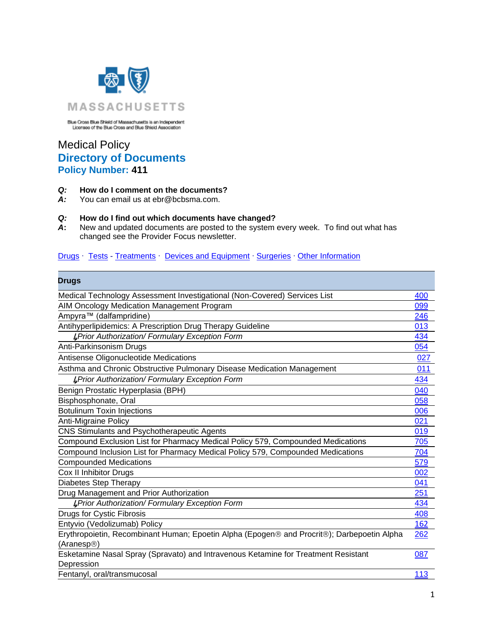

Blue Cross Blue Shield of Massachusetts is an Independent<br>Licensee of the Blue Cross and Blue Shield Association

## Medical Policy **Directory of Documents Policy Number: 411**

## *Q:* **How do I comment on the documents?**

You can email us at ebr@bcbsma.com.

## *Q:* **How do I find out which documents have changed?**

*A***:** New and updated documents are posted to the system every week. To find out what has changed see the Provider Focus newsletter.

## [Drugs](#page-0-0) · [Tests](#page-2-0) - [Treatments](#page-4-0) · [Devices and Equipment](#page-8-0) · [Surgeries](#page-8-1) · [Other Information](#page-10-0)

<span id="page-0-0"></span>

| Drugs                                                                                                                 |     |
|-----------------------------------------------------------------------------------------------------------------------|-----|
| Medical Technology Assessment Investigational (Non-Covered) Services List                                             | 400 |
| AIM Oncology Medication Management Program                                                                            | 099 |
| Ampyra™ (dalfampridine)                                                                                               | 246 |
| Antihyperlipidemics: A Prescription Drug Therapy Guideline                                                            | 013 |
| <b>LPrior Authorization/ Formulary Exception Form</b>                                                                 | 434 |
| Anti-Parkinsonism Drugs                                                                                               | 054 |
| Antisense Oligonucleotide Medications                                                                                 | 027 |
| Asthma and Chronic Obstructive Pulmonary Disease Medication Management                                                | 011 |
| <b>LPrior Authorization/ Formulary Exception Form</b>                                                                 | 434 |
| Benign Prostatic Hyperplasia (BPH)                                                                                    | 040 |
| Bisphosphonate, Oral                                                                                                  | 058 |
| <b>Botulinum Toxin Injections</b>                                                                                     | 006 |
| <b>Anti-Migraine Policy</b>                                                                                           | 021 |
| CNS Stimulants and Psychotherapeutic Agents                                                                           | 019 |
| Compound Exclusion List for Pharmacy Medical Policy 579, Compounded Medications                                       | 705 |
| Compound Inclusion List for Pharmacy Medical Policy 579, Compounded Medications                                       | 704 |
| <b>Compounded Medications</b>                                                                                         | 579 |
| Cox II Inhibitor Drugs                                                                                                | 002 |
| Diabetes Step Therapy                                                                                                 | 041 |
| Drug Management and Prior Authorization                                                                               | 251 |
| <b>LPrior Authorization/ Formulary Exception Form</b>                                                                 | 434 |
| <b>Drugs for Cystic Fibrosis</b>                                                                                      | 408 |
| Entyvio (Vedolizumab) Policy                                                                                          | 162 |
| Erythropoietin, Recombinant Human; Epoetin Alpha (Epogen® and Procrit®); Darbepoetin Alpha<br>(Aranesp <sup>®</sup> ) | 262 |
| Esketamine Nasal Spray (Spravato) and Intravenous Ketamine for Treatment Resistant<br>Depression                      | 087 |
| Fentanyl, oral/transmucosal                                                                                           | 113 |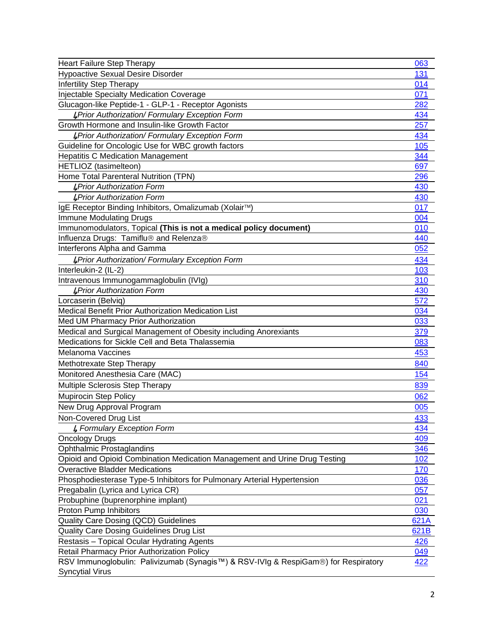| <b>Heart Failure Step Therapy</b>                                                  | 063        |
|------------------------------------------------------------------------------------|------------|
| <b>Hypoactive Sexual Desire Disorder</b>                                           | 131        |
| <b>Infertility Step Therapy</b>                                                    | 014        |
| Injectable Specialty Medication Coverage                                           | 071        |
| Glucagon-like Peptide-1 - GLP-1 - Receptor Agonists                                | 282        |
| <b>LPrior Authorization/ Formulary Exception Form</b>                              | 434        |
| Growth Hormone and Insulin-like Growth Factor                                      | 257        |
| <b>L</b> Prior Authorization/ Formulary Exception Form                             | 434        |
| Guideline for Oncologic Use for WBC growth factors                                 | 105        |
| <b>Hepatitis C Medication Management</b>                                           | 344        |
| HETLIOZ (tasimelteon)                                                              | 697        |
| Home Total Parenteral Nutrition (TPN)                                              | <u>296</u> |
| <b>LPrior Authorization Form</b>                                                   | 430        |
| <b>LPrior Authorization Form</b>                                                   | 430        |
| IgE Receptor Binding Inhibitors, Omalizumab (Xolair™)                              | 017        |
| <b>Immune Modulating Drugs</b>                                                     | 004        |
| Immunomodulators, Topical (This is not a medical policy document)                  | 010        |
| Influenza Drugs: Tamiflu® and Relenza®                                             | 440        |
| Interferons Alpha and Gamma                                                        | 052        |
| <b>LPrior Authorization/ Formulary Exception Form</b>                              | 434        |
| Interleukin-2 (IL-2)                                                               | 103        |
| Intravenous Immunogammaglobulin (IVIg)                                             | 310        |
| <b>LPrior Authorization Form</b>                                                   | 430        |
| Lorcaserin (Belviq)                                                                | 572        |
| Medical Benefit Prior Authorization Medication List                                | 034        |
| Med UM Pharmacy Prior Authorization                                                | 033        |
| Medical and Surgical Management of Obesity including Anorexiants                   | 379        |
| Medications for Sickle Cell and Beta Thalassemia                                   | 083        |
| <b>Melanoma Vaccines</b>                                                           | 453        |
| Methotrexate Step Therapy                                                          | 840        |
| Monitored Anesthesia Care (MAC)                                                    | 154        |
| Multiple Sclerosis Step Therapy                                                    | 839        |
| <b>Mupirocin Step Policy</b>                                                       | 062        |
| New Drug Approval Program                                                          | 005        |
| Non-Covered Drug List                                                              | <u>433</u> |
| <b>4 Formulary Exception Form</b>                                                  | 434        |
| <b>Oncology Drugs</b>                                                              | 409        |
| Ophthalmic Prostaglandins                                                          | 346        |
| Opioid and Opioid Combination Medication Management and Urine Drug Testing         | 102        |
| <b>Overactive Bladder Medications</b>                                              | 170        |
| Phosphodiesterase Type-5 Inhibitors for Pulmonary Arterial Hypertension            | 036        |
| Pregabalin (Lyrica and Lyrica CR)                                                  | 057        |
| Probuphine (buprenorphine implant)                                                 | 021        |
| Proton Pump Inhibitors                                                             | 030        |
| Quality Care Dosing (QCD) Guidelines                                               | 621A       |
| Quality Care Dosing Guidelines Drug List                                           | 621B       |
| Restasis - Topical Ocular Hydrating Agents                                         | 426        |
| Retail Pharmacy Prior Authorization Policy                                         | 049        |
| RSV Immunoglobulin: Palivizumab (Synagis™) & RSV-IVIg & RespiGam®) for Respiratory | <u>422</u> |
| <b>Syncytial Virus</b>                                                             |            |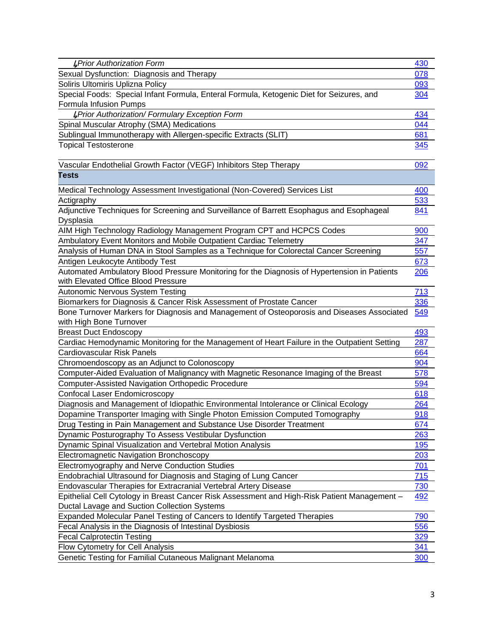<span id="page-2-0"></span>

| <b>L</b> Prior Authorization Form                                                            | 430         |
|----------------------------------------------------------------------------------------------|-------------|
| Sexual Dysfunction: Diagnosis and Therapy                                                    | 078         |
| Soliris Ultomiris Uplizna Policy                                                             | 093         |
| Special Foods: Special Infant Formula, Enteral Formula, Ketogenic Diet for Seizures, and     | 304         |
| Formula Infusion Pumps                                                                       |             |
| <b>LPrior Authorization/ Formulary Exception Form</b>                                        | 434         |
| Spinal Muscular Atrophy (SMA) Medications                                                    | 044         |
| Sublingual Immunotherapy with Allergen-specific Extracts (SLIT)                              | 681         |
| <b>Topical Testosterone</b>                                                                  | <u>345</u>  |
|                                                                                              |             |
| Vascular Endothelial Growth Factor (VEGF) Inhibitors Step Therapy                            | 092         |
| <b>Tests</b>                                                                                 |             |
| Medical Technology Assessment Investigational (Non-Covered) Services List                    | 400         |
| Actigraphy                                                                                   | 533         |
| Adjunctive Techniques for Screening and Surveillance of Barrett Esophagus and Esophageal     | 841         |
| Dysplasia                                                                                    |             |
| AIM High Technology Radiology Management Program CPT and HCPCS Codes                         | 900         |
| Ambulatory Event Monitors and Mobile Outpatient Cardiac Telemetry                            | 347         |
| Analysis of Human DNA in Stool Samples as a Technique for Colorectal Cancer Screening        | 557         |
| Antigen Leukocyte Antibody Test                                                              | 673         |
| Automated Ambulatory Blood Pressure Monitoring for the Diagnosis of Hypertension in Patients | 206         |
| with Elevated Office Blood Pressure                                                          |             |
| Autonomic Nervous System Testing                                                             | 713         |
| Biomarkers for Diagnosis & Cancer Risk Assessment of Prostate Cancer                         | 336         |
| Bone Turnover Markers for Diagnosis and Management of Osteoporosis and Diseases Associated   | 549         |
| with High Bone Turnover                                                                      |             |
| <b>Breast Duct Endoscopy</b>                                                                 | 493         |
| Cardiac Hemodynamic Monitoring for the Management of Heart Failure in the Outpatient Setting | 287         |
| Cardiovascular Risk Panels                                                                   | 664         |
| Chromoendoscopy as an Adjunct to Colonoscopy                                                 | 904         |
| Computer-Aided Evaluation of Malignancy with Magnetic Resonance Imaging of the Breast        | 578         |
| <b>Computer-Assisted Navigation Orthopedic Procedure</b>                                     | 594         |
| Confocal Laser Endomicroscopy                                                                | 618         |
| Diagnosis and Management of Idiopathic Environmental Intolerance or Clinical Ecology         | 264         |
| Dopamine Transporter Imaging with Single Photon Emission Computed Tomography                 | 918         |
| Drug Testing in Pain Management and Substance Use Disorder Treatment                         | 674         |
| Dynamic Posturography To Assess Vestibular Dysfunction                                       | <u> 263</u> |
| Dynamic Spinal Visualization and Vertebral Motion Analysis                                   | 195         |
| <b>Electromagnetic Navigation Bronchoscopy</b>                                               | 203         |
| Electromyography and Nerve Conduction Studies                                                | 701         |
| Endobrachial Ultrasound for Diagnosis and Staging of Lung Cancer                             | 715         |
| Endovascular Therapies for Extracranial Vertebral Artery Disease                             | <u>730</u>  |
| Epithelial Cell Cytology in Breast Cancer Risk Assessment and High-Risk Patient Management - | <u>492</u>  |
| Ductal Lavage and Suction Collection Systems                                                 |             |
| Expanded Molecular Panel Testing of Cancers to Identify Targeted Therapies                   | 790         |
| Fecal Analysis in the Diagnosis of Intestinal Dysbiosis                                      | 556         |
| <b>Fecal Calprotectin Testing</b>                                                            | <u>329</u>  |
| Flow Cytometry for Cell Analysis                                                             | <u>341</u>  |
| Genetic Testing for Familial Cutaneous Malignant Melanoma                                    | <b>300</b>  |
|                                                                                              |             |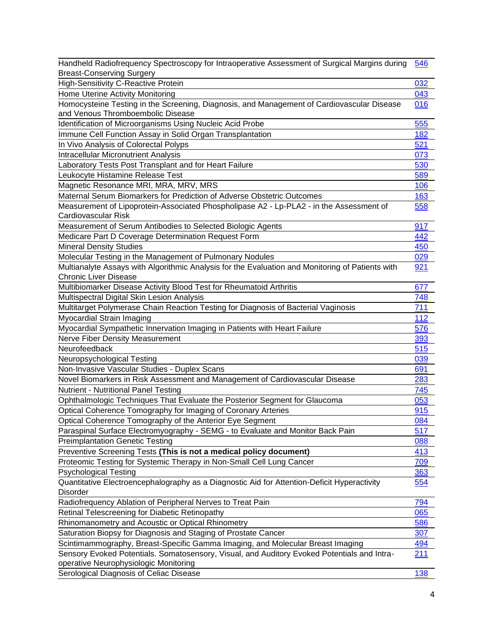| Handheld Radiofrequency Spectroscopy for Intraoperative Assessment of Surgical Margins during                                   | 546 |
|---------------------------------------------------------------------------------------------------------------------------------|-----|
| <b>Breast-Conserving Surgery</b>                                                                                                |     |
| <b>High-Sensitivity C-Reactive Protein</b>                                                                                      | 032 |
| Home Uterine Activity Monitoring                                                                                                | 043 |
| Homocysteine Testing in the Screening, Diagnosis, and Management of Cardiovascular Disease<br>and Venous Thromboembolic Disease | 016 |
| Identification of Microorganisms Using Nucleic Acid Probe                                                                       | 555 |
| Immune Cell Function Assay in Solid Organ Transplantation                                                                       | 182 |
| In Vivo Analysis of Colorectal Polyps                                                                                           | 521 |
| <b>Intracellular Micronutrient Analysis</b>                                                                                     | 073 |
| Laboratory Tests Post Transplant and for Heart Failure                                                                          | 530 |
| Leukocyte Histamine Release Test                                                                                                | 589 |
| Magnetic Resonance MRI, MRA, MRV, MRS                                                                                           | 106 |
| Maternal Serum Biomarkers for Prediction of Adverse Obstetric Outcomes                                                          | 163 |
| Measurement of Lipoprotein-Associated Phospholipase A2 - Lp-PLA2 - in the Assessment of                                         | 558 |
| Cardiovascular Risk                                                                                                             |     |
| Measurement of Serum Antibodies to Selected Biologic Agents                                                                     | 917 |
| Medicare Part D Coverage Determination Request Form                                                                             | 442 |
| <b>Mineral Density Studies</b>                                                                                                  | 450 |
| Molecular Testing in the Management of Pulmonary Nodules                                                                        | 029 |
| Multianalyte Assays with Algorithmic Analysis for the Evaluation and Monitoring of Patients with                                | 921 |
| <b>Chronic Liver Disease</b>                                                                                                    |     |
| Multibiomarker Disease Activity Blood Test for Rheumatoid Arthritis                                                             | 677 |
| Multispectral Digital Skin Lesion Analysis                                                                                      | 748 |
| Multitarget Polymerase Chain Reaction Testing for Diagnosis of Bacterial Vaginosis                                              | 711 |
| Myocardial Strain Imaging                                                                                                       | 112 |
| Myocardial Sympathetic Innervation Imaging in Patients with Heart Failure                                                       | 576 |
| Nerve Fiber Density Measurement                                                                                                 | 393 |
| Neurofeedback                                                                                                                   | 515 |
| Neuropsychological Testing                                                                                                      | 039 |
| Non-Invasive Vascular Studies - Duplex Scans                                                                                    | 691 |
| Novel Biomarkers in Risk Assessment and Management of Cardiovascular Disease                                                    | 283 |
| Nutrient - Nutritional Panel Testing                                                                                            | 745 |
| Ophthalmologic Techniques That Evaluate the Posterior Segment for Glaucoma                                                      | 053 |
| Optical Coherence Tomography for Imaging of Coronary Arteries                                                                   | 915 |
| Optical Coherence Tomography of the Anterior Eye Segment                                                                        | 084 |
| Paraspinal Surface Electromyography - SEMG - to Evaluate and Monitor Back Pain                                                  | 517 |
| <b>Preimplantation Genetic Testing</b>                                                                                          | 088 |
| Preventive Screening Tests (This is not a medical policy document)                                                              | 413 |
| Proteomic Testing for Systemic Therapy in Non-Small Cell Lung Cancer                                                            | 709 |
| <b>Psychological Testing</b>                                                                                                    | 363 |
| Quantitative Electroencephalography as a Diagnostic Aid for Attention-Deficit Hyperactivity                                     | 554 |
| Disorder                                                                                                                        |     |
| Radiofrequency Ablation of Peripheral Nerves to Treat Pain                                                                      | 794 |
| Retinal Telescreening for Diabetic Retinopathy                                                                                  | 065 |
| Rhinomanometry and Acoustic or Optical Rhinometry                                                                               | 586 |
| Saturation Biopsy for Diagnosis and Staging of Prostate Cancer                                                                  | 307 |
| Scintimammography, Breast-Specific Gamma Imaging, and Molecular Breast Imaging                                                  | 494 |
| Sensory Evoked Potentials. Somatosensory, Visual, and Auditory Evoked Potentials and Intra-                                     | 211 |
| operative Neurophysiologic Monitoring                                                                                           |     |
| Serological Diagnosis of Celiac Disease                                                                                         | 138 |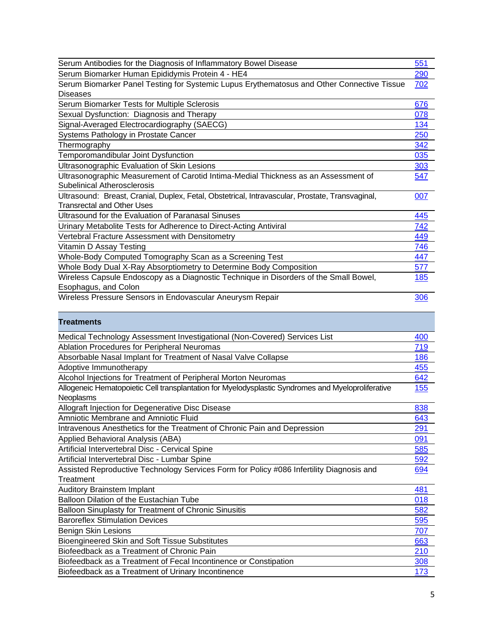<span id="page-4-0"></span>

| Serum Antibodies for the Diagnosis of Inflammatory Bowel Disease                                   | 551         |
|----------------------------------------------------------------------------------------------------|-------------|
| Serum Biomarker Human Epididymis Protein 4 - HE4                                                   | 290         |
| Serum Biomarker Panel Testing for Systemic Lupus Erythematosus and Other Connective Tissue         | 702         |
| Diseases                                                                                           |             |
| Serum Biomarker Tests for Multiple Sclerosis                                                       | 676         |
| Sexual Dysfunction: Diagnosis and Therapy                                                          | 078         |
| Signal-Averaged Electrocardiography (SAECG)                                                        | 134         |
| Systems Pathology in Prostate Cancer                                                               | 250         |
| Thermography                                                                                       | 342         |
| Temporomandibular Joint Dysfunction                                                                | 035         |
| Ultrasonographic Evaluation of Skin Lesions                                                        | 303         |
| Ultrasonographic Measurement of Carotid Intima-Medial Thickness as an Assessment of                | 547         |
| <b>Subelinical Atherosclerosis</b>                                                                 |             |
| Ultrasound: Breast, Cranial, Duplex, Fetal, Obstetrical, Intravascular, Prostate, Transvaginal,    | 007         |
| <b>Transrectal and Other Uses</b>                                                                  |             |
| Ultrasound for the Evaluation of Paranasal Sinuses                                                 | 445         |
| Urinary Metabolite Tests for Adherence to Direct-Acting Antiviral                                  | 742         |
| Vertebral Fracture Assessment with Densitometry                                                    | 449         |
| Vitamin D Assay Testing                                                                            | 746         |
| Whole-Body Computed Tomography Scan as a Screening Test                                            | 447         |
| Whole Body Dual X-Ray Absorptiometry to Determine Body Composition                                 | 577         |
| Wireless Capsule Endoscopy as a Diagnostic Technique in Disorders of the Small Bowel,              | <u> 185</u> |
| Esophagus, and Colon                                                                               |             |
| Wireless Pressure Sensors in Endovascular Aneurysm Repair                                          | 306         |
|                                                                                                    |             |
| <b>Treatments</b>                                                                                  |             |
| Medical Technology Assessment Investigational (Non-Covered) Services List                          | 400         |
| <b>Ablation Procedures for Peripheral Neuromas</b>                                                 | <u>719</u>  |
| Absorbable Nasal Implant for Treatment of Nasal Valve Collapse                                     | 186         |
| Adoptive Immunotherapy                                                                             | 455         |
| Alcohol Injections for Treatment of Peripheral Morton Neuromas                                     | 642         |
| Allogeneic Hematopoietic Cell transplantation for Myelodysplastic Syndromes and Myeloproliferative | <b>155</b>  |
| Neoplasms                                                                                          |             |
| Allograft Injection for Degenerative Disc Disease                                                  | 838         |
| Amniotic Membrane and Amniotic Fluid                                                               | 643         |
| Intravenous Anesthetics for the Treatment of Chronic Pain and Depression                           | 291         |
| Applied Behavioral Analysis (ABA)                                                                  | 091         |
| Artificial Intervertebral Disc - Cervical Spine                                                    | 585         |
| Artificial Intervertebral Disc - Lumbar Spine                                                      | 592         |
| Assisted Reproductive Technology Services Form for Policy #086 Infertility Diagnosis and           | 694         |
| Treatment                                                                                          |             |
| Auditory Brainstem Implant                                                                         | 481         |
| Balloon Dilation of the Eustachian Tube                                                            | 018         |
| Balloon Sinuplasty for Treatment of Chronic Sinusitis                                              | 582         |
| <b>Baroreflex Stimulation Devices</b>                                                              | 595         |
| Benign Skin Lesions                                                                                | 707         |
| Bioengineered Skin and Soft Tissue Substitutes                                                     | 663         |
| Biofeedback as a Treatment of Chronic Pain                                                         | 210         |
| Biofeedback as a Treatment of Fecal Incontinence or Constipation                                   | 308         |
|                                                                                                    |             |
| Biofeedback as a Treatment of Urinary Incontinence                                                 | 173         |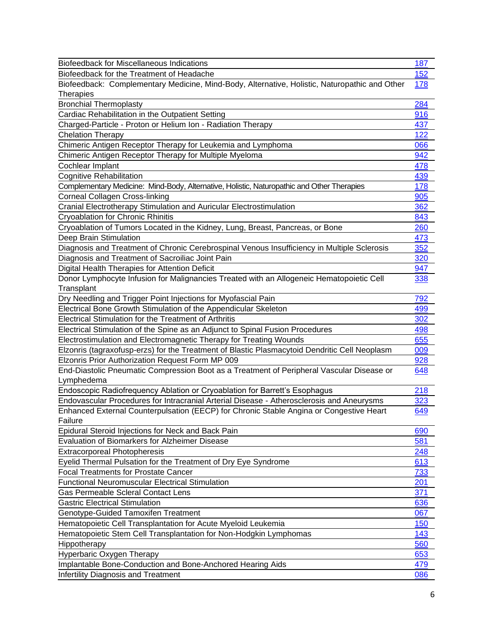| <b>Biofeedback for Miscellaneous Indications</b>                                              | 187        |
|-----------------------------------------------------------------------------------------------|------------|
| Biofeedback for the Treatment of Headache                                                     | 152        |
| Biofeedback: Complementary Medicine, Mind-Body, Alternative, Holistic, Naturopathic and Other | 178        |
| <b>Therapies</b>                                                                              |            |
| <b>Bronchial Thermoplasty</b>                                                                 | 284        |
| Cardiac Rehabilitation in the Outpatient Setting                                              | 916        |
| Charged-Particle - Proton or Helium Ion - Radiation Therapy                                   | 437        |
| <b>Chelation Therapy</b>                                                                      | 122        |
| Chimeric Antigen Receptor Therapy for Leukemia and Lymphoma                                   | 066        |
| Chimeric Antigen Receptor Therapy for Multiple Myeloma                                        | 942        |
| Cochlear Implant                                                                              | 478        |
| <b>Cognitive Rehabilitation</b>                                                               | 439        |
| Complementary Medicine: Mind-Body, Alternative, Holistic, Naturopathic and Other Therapies    | <b>178</b> |
| <b>Corneal Collagen Cross-linking</b>                                                         | 905        |
| Cranial Electrotherapy Stimulation and Auricular Electrostimulation                           | 362        |
| Cryoablation for Chronic Rhinitis                                                             | 843        |
| Cryoablation of Tumors Located in the Kidney, Lung, Breast, Pancreas, or Bone                 | 260        |
| Deep Brain Stimulation                                                                        | 473        |
| Diagnosis and Treatment of Chronic Cerebrospinal Venous Insufficiency in Multiple Sclerosis   | 352        |
| Diagnosis and Treatment of Sacroiliac Joint Pain                                              | 320        |
| Digital Health Therapies for Attention Deficit                                                | 947        |
| Donor Lymphocyte Infusion for Malignancies Treated with an Allogeneic Hematopoietic Cell      | 338        |
| Transplant                                                                                    |            |
| Dry Needling and Trigger Point Injections for Myofascial Pain                                 | 792        |
| Electrical Bone Growth Stimulation of the Appendicular Skeleton                               | 499        |
| <b>Electrical Stimulation for the Treatment of Arthritis</b>                                  | 302        |
| Electrical Stimulation of the Spine as an Adjunct to Spinal Fusion Procedures                 | 498        |
| Electrostimulation and Electromagnetic Therapy for Treating Wounds                            | 655        |
| Elzonris (tagraxofusp-erzs) for the Treatment of Blastic Plasmacytoid Dendritic Cell Neoplasm | 009        |
| Elzonris Prior Authorization Request Form MP 009                                              | 928        |
| End-Diastolic Pneumatic Compression Boot as a Treatment of Peripheral Vascular Disease or     | 648        |
| Lymphedema                                                                                    |            |
| Endoscopic Radiofrequency Ablation or Cryoablation for Barrett's Esophagus                    | 218        |
| Endovascular Procedures for Intracranial Arterial Disease - Atherosclerosis and Aneurysms     | <u>323</u> |
| Enhanced External Counterpulsation (EECP) for Chronic Stable Angina or Congestive Heart       | 649        |
| Failure                                                                                       |            |
| Epidural Steroid Injections for Neck and Back Pain                                            | 690        |
| <b>Evaluation of Biomarkers for Alzheimer Disease</b>                                         | 581        |
| <b>Extracorporeal Photopheresis</b>                                                           | 248        |
| Eyelid Thermal Pulsation for the Treatment of Dry Eye Syndrome                                | 613        |
| <b>Focal Treatments for Prostate Cancer</b>                                                   | 733        |
| <b>Functional Neuromuscular Electrical Stimulation</b>                                        | 201        |
| <b>Gas Permeable Scleral Contact Lens</b>                                                     | 371        |
| <b>Gastric Electrical Stimulation</b>                                                         | 636        |
| Genotype-Guided Tamoxifen Treatment                                                           | 067        |
| Hematopoietic Cell Transplantation for Acute Myeloid Leukemia                                 | 150        |
| Hematopoietic Stem Cell Transplantation for Non-Hodgkin Lymphomas                             | 143        |
| Hippotherapy                                                                                  | 560        |
| Hyperbaric Oxygen Therapy                                                                     | 653        |
| Implantable Bone-Conduction and Bone-Anchored Hearing Aids                                    | 479        |
| <b>Infertility Diagnosis and Treatment</b>                                                    | 086        |
|                                                                                               |            |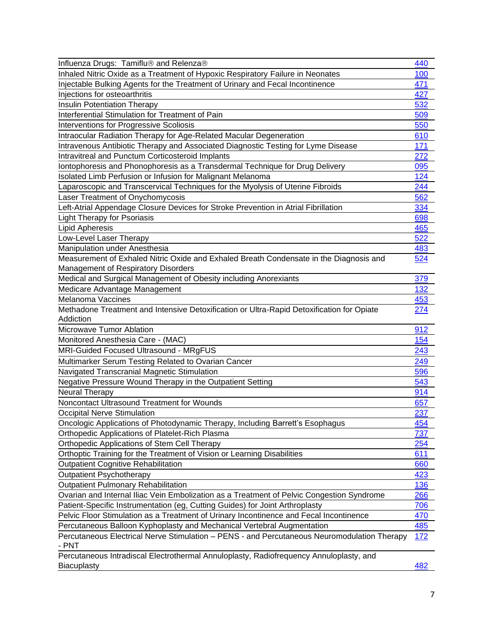| Influenza Drugs: Tamiflu® and Relenza®                                                               | 440        |
|------------------------------------------------------------------------------------------------------|------------|
| Inhaled Nitric Oxide as a Treatment of Hypoxic Respiratory Failure in Neonates                       | 100        |
| Injectable Bulking Agents for the Treatment of Urinary and Fecal Incontinence                        | 471        |
| Injections for osteoarthritis                                                                        | 427        |
| <b>Insulin Potentiation Therapy</b>                                                                  | 532        |
| Interferential Stimulation for Treatment of Pain                                                     | 509        |
| <b>Interventions for Progressive Scoliosis</b>                                                       | 550        |
| Intraocular Radiation Therapy for Age-Related Macular Degeneration                                   | 610        |
| Intravenous Antibiotic Therapy and Associated Diagnostic Testing for Lyme Disease                    | 171        |
| <b>Intravitreal and Punctum Corticosteroid Implants</b>                                              | 272        |
| Iontophoresis and Phonophoresis as a Transdermal Technique for Drug Delivery                         | 095        |
| Isolated Limb Perfusion or Infusion for Malignant Melanoma                                           | 124        |
| Laparoscopic and Transcervical Techniques for the Myolysis of Uterine Fibroids                       | 244        |
| Laser Treatment of Onychomycosis                                                                     | 562        |
| Left-Atrial Appendage Closure Devices for Stroke Prevention in Atrial Fibrillation                   | 334        |
| <b>Light Therapy for Psoriasis</b>                                                                   | 698        |
| Lipid Apheresis                                                                                      | 465        |
| Low-Level Laser Therapy                                                                              | 522        |
| Manipulation under Anesthesia                                                                        | 483        |
| Measurement of Exhaled Nitric Oxide and Exhaled Breath Condensate in the Diagnosis and               | 524        |
| <b>Management of Respiratory Disorders</b>                                                           |            |
| Medical and Surgical Management of Obesity including Anorexiants                                     | 379        |
| Medicare Advantage Management                                                                        | 132        |
| <b>Melanoma Vaccines</b>                                                                             | 453        |
| Methadone Treatment and Intensive Detoxification or Ultra-Rapid Detoxification for Opiate            | <u>274</u> |
| Addiction                                                                                            |            |
| Microwave Tumor Ablation                                                                             | 912        |
| Monitored Anesthesia Care - (MAC)                                                                    | 154        |
| MRI-Guided Focused Ultrasound - MRgFUS                                                               | 243        |
| Multimarker Serum Testing Related to Ovarian Cancer                                                  | 249        |
| Navigated Transcranial Magnetic Stimulation                                                          | 596        |
| Negative Pressure Wound Therapy in the Outpatient Setting                                            | 543        |
| Neural Therapy                                                                                       | 914        |
| Noncontact Ultrasound Treatment for Wounds                                                           | 657        |
| Occipital Nerve Stimulation                                                                          | 237        |
| Oncologic Applications of Photodynamic Therapy, Including Barrett's Esophagus                        | 454        |
| Orthopedic Applications of Platelet-Rich Plasma                                                      | 737        |
| <b>Orthopedic Applications of Stem Cell Therapy</b>                                                  | 254        |
| Orthoptic Training for the Treatment of Vision or Learning Disabilities                              | 611        |
| <b>Outpatient Cognitive Rehabilitation</b>                                                           | 660        |
| <b>Outpatient Psychotherapy</b>                                                                      | 423        |
| <b>Outpatient Pulmonary Rehabilitation</b>                                                           | 136        |
| Ovarian and Internal Iliac Vein Embolization as a Treatment of Pelvic Congestion Syndrome            | 266        |
| Patient-Specific Instrumentation (eg, Cutting Guides) for Joint Arthroplasty                         | 706        |
| Pelvic Floor Stimulation as a Treatment of Urinary Incontinence and Fecal Incontinence               | 470        |
| Percutaneous Balloon Kyphoplasty and Mechanical Vertebral Augmentation                               | 485        |
| Percutaneous Electrical Nerve Stimulation - PENS - and Percutaneous Neuromodulation Therapy<br>- PNT | <u>172</u> |
| Percutaneous Intradiscal Electrothermal Annuloplasty, Radiofrequency Annuloplasty, and               |            |
| <b>Biacuplasty</b>                                                                                   | 482        |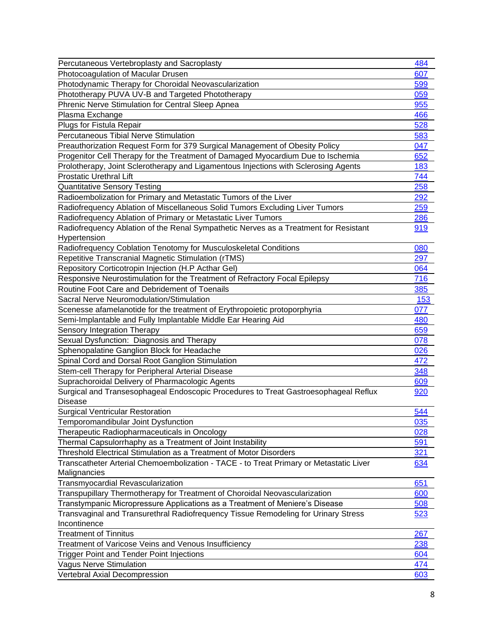| Percutaneous Vertebroplasty and Sacroplasty                                            | 484 |
|----------------------------------------------------------------------------------------|-----|
| Photocoagulation of Macular Drusen                                                     | 607 |
| Photodynamic Therapy for Choroidal Neovascularization                                  | 599 |
| Phototherapy PUVA UV-B and Targeted Phototherapy                                       | 059 |
| Phrenic Nerve Stimulation for Central Sleep Apnea                                      | 955 |
| Plasma Exchange                                                                        | 466 |
| Plugs for Fistula Repair                                                               | 528 |
| <b>Percutaneous Tibial Nerve Stimulation</b>                                           | 583 |
| Preauthorization Request Form for 379 Surgical Management of Obesity Policy            | 047 |
| Progenitor Cell Therapy for the Treatment of Damaged Myocardium Due to Ischemia        | 652 |
| Prolotherapy, Joint Sclerotherapy and Ligamentous Injections with Sclerosing Agents    | 183 |
| <b>Prostatic Urethral Lift</b>                                                         | 744 |
| <b>Quantitative Sensory Testing</b>                                                    | 258 |
| Radioembolization for Primary and Metastatic Tumors of the Liver                       | 292 |
| Radiofrequency Ablation of Miscellaneous Solid Tumors Excluding Liver Tumors           | 259 |
| Radiofrequency Ablation of Primary or Metastatic Liver Tumors                          | 286 |
| Radiofrequency Ablation of the Renal Sympathetic Nerves as a Treatment for Resistant   | 919 |
| Hypertension                                                                           |     |
| Radiofrequency Coblation Tenotomy for Musculoskeletal Conditions                       | 080 |
| Repetitive Transcranial Magnetic Stimulation (rTMS)                                    | 297 |
| Repository Corticotropin Injection (H.P Acthar Gel)                                    | 064 |
| Responsive Neurostimulation for the Treatment of Refractory Focal Epilepsy             | 716 |
| Routine Foot Care and Debridement of Toenails                                          | 385 |
| Sacral Nerve Neuromodulation/Stimulation                                               | 153 |
| Scenesse afamelanotide for the treatment of Erythropoietic protoporphyria              | 077 |
| Semi-Implantable and Fully Implantable Middle Ear Hearing Aid                          | 480 |
| Sensory Integration Therapy                                                            | 659 |
| Sexual Dysfunction: Diagnosis and Therapy                                              | 078 |
| Sphenopalatine Ganglion Block for Headache                                             | 026 |
| Spinal Cord and Dorsal Root Ganglion Stimulation                                       | 472 |
| Stem-cell Therapy for Peripheral Arterial Disease                                      | 348 |
| Suprachoroidal Delivery of Pharmacologic Agents                                        | 609 |
| Surgical and Transesophageal Endoscopic Procedures to Treat Gastroesophageal Reflux    | 920 |
| Disease                                                                                |     |
| <b>Surgical Ventricular Restoration</b>                                                | 544 |
| Temporomandibular Joint Dysfunction                                                    | 035 |
| Therapeutic Radiopharmaceuticals in Oncology                                           | 028 |
| Thermal Capsulorrhaphy as a Treatment of Joint Instability                             | 591 |
| Threshold Electrical Stimulation as a Treatment of Motor Disorders                     | 321 |
| Transcatheter Arterial Chemoembolization - TACE - to Treat Primary or Metastatic Liver | 634 |
| Malignancies                                                                           |     |
| Transmyocardial Revascularization                                                      | 651 |
| Transpupillary Thermotherapy for Treatment of Choroidal Neovascularization             | 600 |
| Transtympanic Micropressure Applications as a Treatment of Meniere's Disease           | 508 |
| Transvaginal and Transurethral Radiofrequency Tissue Remodeling for Urinary Stress     | 523 |
| Incontinence                                                                           |     |
| <b>Treatment of Tinnitus</b>                                                           | 267 |
| Treatment of Varicose Veins and Venous Insufficiency                                   | 238 |
| Trigger Point and Tender Point Injections                                              | 604 |
| <b>Vagus Nerve Stimulation</b>                                                         | 474 |
| Vertebral Axial Decompression                                                          | 603 |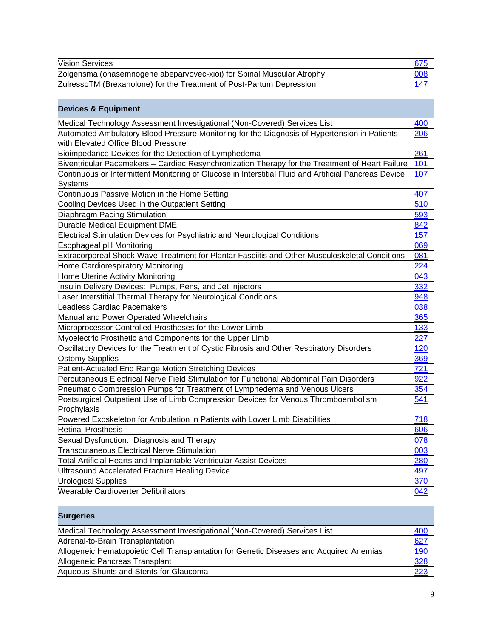<span id="page-8-0"></span>

| <b>Vision Services</b>                                                                                                              | 675        |
|-------------------------------------------------------------------------------------------------------------------------------------|------------|
| Zolgensma (onasemnogene abeparvovec-xioi) for Spinal Muscular Atrophy                                                               | 008        |
| ZulressoTM (Brexanolone) for the Treatment of Post-Partum Depression                                                                | 147        |
|                                                                                                                                     |            |
| <b>Devices &amp; Equipment</b>                                                                                                      |            |
| Medical Technology Assessment Investigational (Non-Covered) Services List                                                           | 400        |
| Automated Ambulatory Blood Pressure Monitoring for the Diagnosis of Hypertension in Patients<br>with Elevated Office Blood Pressure | 206        |
| Bioimpedance Devices for the Detection of Lymphedema                                                                                | 261        |
| Biventricular Pacemakers - Cardiac Resynchronization Therapy for the Treatment of Heart Failure                                     | 101        |
| Continuous or Intermittent Monitoring of Glucose in Interstitial Fluid and Artificial Pancreas Device                               | <u>107</u> |
| <b>Systems</b>                                                                                                                      |            |
| Continuous Passive Motion in the Home Setting                                                                                       | 407        |
| Cooling Devices Used in the Outpatient Setting                                                                                      | 510        |
| Diaphragm Pacing Stimulation                                                                                                        | 593        |
| Durable Medical Equipment DME                                                                                                       | 842        |
| Electrical Stimulation Devices for Psychiatric and Neurological Conditions                                                          | 157        |
| Esophageal pH Monitoring                                                                                                            | 069        |
| Extracorporeal Shock Wave Treatment for Plantar Fasciitis and Other Musculoskeletal Conditions                                      | 081        |
| Home Cardiorespiratory Monitoring                                                                                                   | 224        |
| Home Uterine Activity Monitoring                                                                                                    | 043        |
| Insulin Delivery Devices: Pumps, Pens, and Jet Injectors                                                                            | 332        |
| Laser Interstitial Thermal Therapy for Neurological Conditions                                                                      | 948        |
| <b>Leadless Cardiac Pacemakers</b>                                                                                                  | 038        |
| Manual and Power Operated Wheelchairs                                                                                               | 365        |
| Microprocessor Controlled Prostheses for the Lower Limb                                                                             | 133        |
| Myoelectric Prosthetic and Components for the Upper Limb                                                                            | 227        |
| Oscillatory Devices for the Treatment of Cystic Fibrosis and Other Respiratory Disorders                                            | 120        |
| <b>Ostomy Supplies</b>                                                                                                              | 369        |
| Patient-Actuated End Range Motion Stretching Devices                                                                                | 721        |
| Percutaneous Electrical Nerve Field Stimulation for Functional Abdominal Pain Disorders                                             | 922        |
| Pneumatic Compression Pumps for Treatment of Lymphedema and Venous Ulcers                                                           | 354        |
| Postsurgical Outpatient Use of Limb Compression Devices for Venous Thromboembolism                                                  | 541        |
| Prophylaxis                                                                                                                         |            |
| Powered Exoskeleton for Ambulation in Patients with Lower Limb Disabilities                                                         | 718        |
| <b>Retinal Prosthesis</b>                                                                                                           | 606        |
| Sexual Dysfunction: Diagnosis and Therapy                                                                                           | 078        |
| <b>Transcutaneous Electrical Nerve Stimulation</b>                                                                                  | 003        |
| Total Artificial Hearts and Implantable Ventricular Assist Devices                                                                  | 280        |
| <b>Ultrasound Accelerated Fracture Healing Device</b>                                                                               | 497        |
| <b>Urological Supplies</b>                                                                                                          | 370        |
| Wearable Cardioverter Defibrillators                                                                                                | 042        |

<span id="page-8-1"></span>

| <b>Surgeries</b>                                                                        |            |
|-----------------------------------------------------------------------------------------|------------|
| Medical Technology Assessment Investigational (Non-Covered) Services List               | <u>400</u> |
| Adrenal-to-Brain Transplantation                                                        | 627        |
| Allogeneic Hematopoietic Cell Transplantation for Genetic Diseases and Acquired Anemias | <u>190</u> |
| Allogeneic Pancreas Transplant                                                          | <u>328</u> |
| Aqueous Shunts and Stents for Glaucoma                                                  | 223        |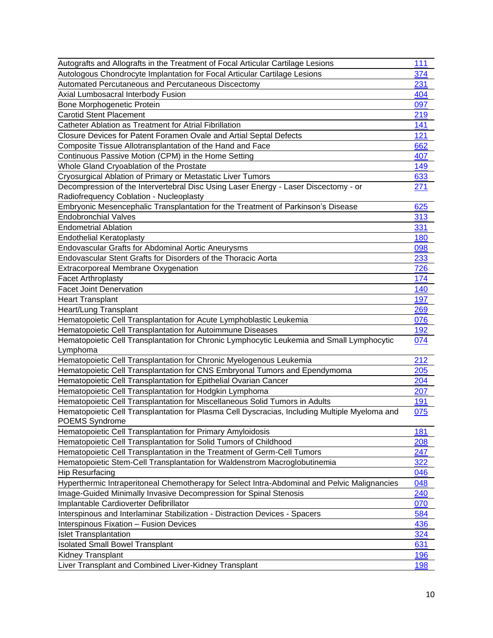| Autografts and Allografts in the Treatment of Focal Articular Cartilage Lesions               | <u>111</u> |
|-----------------------------------------------------------------------------------------------|------------|
| Autologous Chondrocyte Implantation for Focal Articular Cartilage Lesions                     | 374        |
| Automated Percutaneous and Percutaneous Discectomy                                            | 231        |
| Axial Lumbosacral Interbody Fusion                                                            | 404        |
| Bone Morphogenetic Protein                                                                    | 097        |
| <b>Carotid Stent Placement</b>                                                                | 219        |
| Catheter Ablation as Treatment for Atrial Fibrillation                                        | 141        |
| Closure Devices for Patent Foramen Ovale and Artial Septal Defects                            | 121        |
| Composite Tissue Allotransplantation of the Hand and Face                                     | 662        |
| Continuous Passive Motion (CPM) in the Home Setting                                           | 407        |
| Whole Gland Cryoablation of the Prostate                                                      | 149        |
| Cryosurgical Ablation of Primary or Metastatic Liver Tumors                                   | 633        |
| Decompression of the Intervertebral Disc Using Laser Energy - Laser Discectomy - or           | 271        |
| Radiofrequency Coblation - Nucleoplasty                                                       |            |
| Embryonic Mesencephalic Transplantation for the Treatment of Parkinson's Disease              | 625        |
| <b>Endobronchial Valves</b>                                                                   | 313        |
| <b>Endometrial Ablation</b>                                                                   | 331        |
| <b>Endothelial Keratoplasty</b>                                                               | 180        |
| <b>Endovascular Grafts for Abdominal Aortic Aneurysms</b>                                     | 098        |
| Endovascular Stent Grafts for Disorders of the Thoracic Aorta                                 | 233        |
| <b>Extracorporeal Membrane Oxygenation</b>                                                    | 726        |
| <b>Facet Arthroplasty</b>                                                                     | 174        |
| <b>Facet Joint Denervation</b>                                                                | 140        |
| <b>Heart Transplant</b>                                                                       | 197        |
| Heart/Lung Transplant                                                                         | 269        |
| Hematopoietic Cell Transplantation for Acute Lymphoblastic Leukemia                           | 076        |
| Hematopoietic Cell Transplantation for Autoimmune Diseases                                    | 192        |
| Hematopoietic Cell Transplantation for Chronic Lymphocytic Leukemia and Small Lymphocytic     | 074        |
| Lymphoma                                                                                      |            |
| Hematopoietic Cell Transplantation for Chronic Myelogenous Leukemia                           | 212        |
| Hematopoietic Cell Transplantation for CNS Embryonal Tumors and Ependymoma                    | 205        |
| Hematopoietic Cell Transplantation for Epithelial Ovarian Cancer                              | 204        |
| Hematopoietic Cell Transplantation for Hodgkin Lymphoma                                       | 207        |
| Hematopoietic Cell Transplantation for Miscellaneous Solid Tumors in Adults                   | 191        |
| Hematopoietic Cell Transplantation for Plasma Cell Dyscracias, Including Multiple Myeloma and | 075        |
| <b>POEMS Syndrome</b>                                                                         |            |
| Hematopoietic Cell Transplantation for Primary Amyloidosis                                    | 181        |
| Hematopoietic Cell Transplantation for Solid Tumors of Childhood                              | 208        |
| Hematopoietic Cell Transplantation in the Treatment of Germ-Cell Tumors                       | 247        |
| Hematopoietic Stem-Cell Transplantation for Waldenstrom Macroglobutinemia                     | 322        |
| <b>Hip Resurfacing</b>                                                                        | 046        |
| Hyperthermic Intraperitoneal Chemotherapy for Select Intra-Abdominal and Pelvic Malignancies  | 048        |
| Image-Guided Minimally Invasive Decompression for Spinal Stenosis                             | 240        |
| Implantable Cardioverter Defibrillator                                                        | 070        |
| Interspinous and Interlaminar Stabilization - Distraction Devices - Spacers                   | 584        |
| <b>Interspinous Fixation - Fusion Devices</b>                                                 | 436        |
| <b>Islet Transplantation</b>                                                                  | 324        |
| <b>Isolated Small Bowel Transplant</b>                                                        | 631        |
| Kidney Transplant                                                                             | 196        |
| Liver Transplant and Combined Liver-Kidney Transplant                                         | 198        |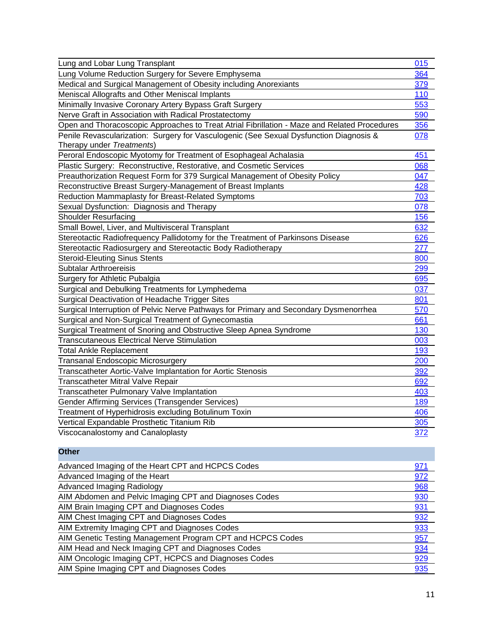| Lung and Lobar Lung Transplant                                                               | 015 |
|----------------------------------------------------------------------------------------------|-----|
| Lung Volume Reduction Surgery for Severe Emphysema                                           | 364 |
| Medical and Surgical Management of Obesity including Anorexiants                             | 379 |
| Meniscal Allografts and Other Meniscal Implants                                              | 110 |
| Minimally Invasive Coronary Artery Bypass Graft Surgery                                      | 553 |
| Nerve Graft in Association with Radical Prostatectomy                                        | 590 |
| Open and Thoracoscopic Approaches to Treat Atrial Fibrillation - Maze and Related Procedures | 356 |
| Penile Revascularization: Surgery for Vasculogenic (See Sexual Dysfunction Diagnosis &       | 078 |
| Therapy under Treatments)                                                                    |     |
| Peroral Endoscopic Myotomy for Treatment of Esophageal Achalasia                             | 451 |
| Plastic Surgery: Reconstructive, Restorative, and Cosmetic Services                          | 068 |
| Preauthorization Request Form for 379 Surgical Management of Obesity Policy                  | 047 |
| Reconstructive Breast Surgery-Management of Breast Implants                                  | 428 |
| Reduction Mammaplasty for Breast-Related Symptoms                                            | 703 |
| Sexual Dysfunction: Diagnosis and Therapy                                                    | 078 |
| <b>Shoulder Resurfacing</b>                                                                  | 156 |
| Small Bowel, Liver, and Multivisceral Transplant                                             | 632 |
| Stereotactic Radiofrequency Pallidotomy for the Treatment of Parkinsons Disease              | 626 |
| Stereotactic Radiosurgery and Stereotactic Body Radiotherapy                                 | 277 |
| <b>Steroid-Eleuting Sinus Stents</b>                                                         | 800 |
| Subtalar Arthroereisis                                                                       | 299 |
| Surgery for Athletic Pubalgia                                                                | 695 |
| Surgical and Debulking Treatments for Lymphedema                                             | 037 |
| Surgical Deactivation of Headache Trigger Sites                                              | 801 |
| Surgical Interruption of Pelvic Nerve Pathways for Primary and Secondary Dysmenorrhea        | 570 |
| Surgical and Non-Surgical Treatment of Gynecomastia                                          | 661 |
| Surgical Treatment of Snoring and Obstructive Sleep Apnea Syndrome                           | 130 |
| <b>Transcutaneous Electrical Nerve Stimulation</b>                                           | 003 |
| <b>Total Ankle Replacement</b>                                                               | 193 |
| Transanal Endoscopic Microsurgery                                                            | 200 |
| Transcatheter Aortic-Valve Implantation for Aortic Stenosis                                  | 392 |
| Transcatheter Mitral Valve Repair                                                            | 692 |
| Transcatheter Pulmonary Valve Implantation                                                   | 403 |
| Gender Affirming Services (Transgender Services)                                             | 189 |
| Treatment of Hyperhidrosis excluding Botulinum Toxin                                         | 406 |
| Vertical Expandable Prosthetic Titanium Rib                                                  | 305 |
| Viscocanalostomy and Canaloplasty                                                            | 372 |
|                                                                                              |     |

<span id="page-10-0"></span>

| <b>Other</b>                                               |            |
|------------------------------------------------------------|------------|
| Advanced Imaging of the Heart CPT and HCPCS Codes          | <u>971</u> |
| Advanced Imaging of the Heart                              | 972        |
| <b>Advanced Imaging Radiology</b>                          | 968        |
| AIM Abdomen and Pelvic Imaging CPT and Diagnoses Codes     | 930        |
| AIM Brain Imaging CPT and Diagnoses Codes                  | 931        |
| AIM Chest Imaging CPT and Diagnoses Codes                  | 932        |
| AIM Extremity Imaging CPT and Diagnoses Codes              | 933        |
| AIM Genetic Testing Management Program CPT and HCPCS Codes | 957        |
| AIM Head and Neck Imaging CPT and Diagnoses Codes          | 934        |
| AIM Oncologic Imaging CPT, HCPCS and Diagnoses Codes       | 929        |
| AIM Spine Imaging CPT and Diagnoses Codes                  | 935        |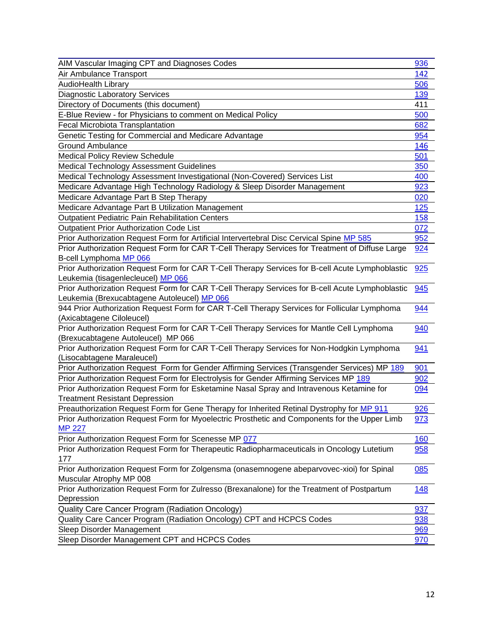| AIM Vascular Imaging CPT and Diagnoses Codes                                                    | 936        |
|-------------------------------------------------------------------------------------------------|------------|
| Air Ambulance Transport                                                                         | 142        |
| AudioHealth Library                                                                             | 506        |
| <b>Diagnostic Laboratory Services</b>                                                           | <u>139</u> |
| Directory of Documents (this document)                                                          | 411        |
| E-Blue Review - for Physicians to comment on Medical Policy                                     | 500        |
| Fecal Microbiota Transplantation                                                                | 682        |
| Genetic Testing for Commercial and Medicare Advantage                                           | 954        |
| <b>Ground Ambulance</b>                                                                         | 146        |
| <b>Medical Policy Review Schedule</b>                                                           | 501        |
| <b>Medical Technology Assessment Guidelines</b>                                                 | 350        |
| Medical Technology Assessment Investigational (Non-Covered) Services List                       | 400        |
| Medicare Advantage High Technology Radiology & Sleep Disorder Management                        | 923        |
| Medicare Advantage Part B Step Therapy                                                          | 020        |
| Medicare Advantage Part B Utilization Management                                                | <u>125</u> |
| <b>Outpatient Pediatric Pain Rehabilitation Centers</b>                                         | 158        |
| <b>Outpatient Prior Authorization Code List</b>                                                 | 072        |
| Prior Authorization Request Form for Artificial Intervertebral Disc Cervical Spine MP 585       | 952        |
| Prior Authorization Request Form for CAR T-Cell Therapy Services for Treatment of Diffuse Large | 924        |
| B-cell Lymphoma MP 066                                                                          |            |
| Prior Authorization Request Form for CAR T-Cell Therapy Services for B-cell Acute Lymphoblastic | 925        |
| Leukemia (tisagenlecleucel) MP 066                                                              |            |
| Prior Authorization Request Form for CAR T-Cell Therapy Services for B-cell Acute Lymphoblastic | 945        |
| Leukemia (Brexucabtagene Autoleucel) MP 066                                                     |            |
| 944 Prior Authorization Request Form for CAR T-Cell Therapy Services for Follicular Lymphoma    | 944        |
| (Axicabtagene Ciloleucel)                                                                       |            |
| Prior Authorization Request Form for CAR T-Cell Therapy Services for Mantle Cell Lymphoma       | 940        |
| (Brexucabtagene Autoleucel) MP 066                                                              |            |
| Prior Authorization Request Form for CAR T-Cell Therapy Services for Non-Hodgkin Lymphoma       | 941        |
| (Lisocabtagene Maraleucel)                                                                      |            |
| Prior Authorization Request Form for Gender Affirming Services (Transgender Services) MP 189    | 901        |
| Prior Authorization Request Form for Electrolysis for Gender Affirming Services MP 189          | 902        |
| Prior Authorization Request Form for Esketamine Nasal Spray and Intravenous Ketamine for        | 094        |
| <b>Treatment Resistant Depression</b>                                                           |            |
| Preauthorization Request Form for Gene Therapy for Inherited Retinal Dystrophy for MP 911       | 926        |
| Prior Authorization Request Form for Myoelectric Prosthetic and Components for the Upper Limb   | 973        |
| MP 227                                                                                          |            |
| Prior Authorization Request Form for Scenesse MP 077                                            | 160        |
| Prior Authorization Request Form for Therapeutic Radiopharmaceuticals in Oncology Lutetium      | 958        |
| 177                                                                                             |            |
| Prior Authorization Request Form for Zolgensma (onasemnogene abeparvovec-xioi) for Spinal       | 085        |
| Muscular Atrophy MP 008                                                                         |            |
| Prior Authorization Request Form for Zulresso (Brexanalone) for the Treatment of Postpartum     | 148        |
| Depression                                                                                      |            |
| Quality Care Cancer Program (Radiation Oncology)                                                | 937        |
| Quality Care Cancer Program (Radiation Oncology) CPT and HCPCS Codes                            | 938        |
| Sleep Disorder Management                                                                       | 969        |
| Sleep Disorder Management CPT and HCPCS Codes                                                   | 970        |